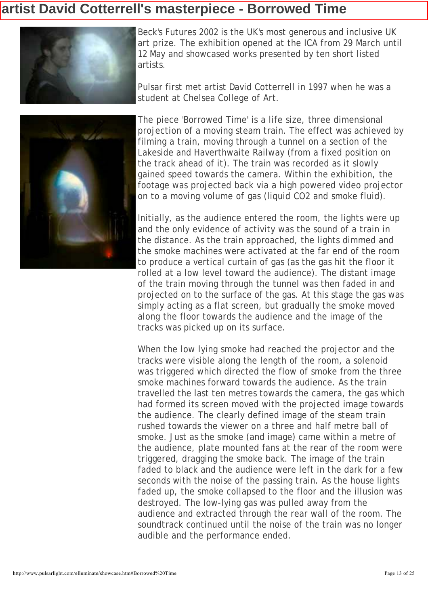## artist David Cotterrell's masterpiece - Borrowed Time



Beck's Futures 2002 is the UK's most generous and inclusive UK art prize. The exhibition opened at the ICA from 29 March until 12 May and showcased works presented by ten short listed artists.

Pulsar first met artist David Cotterrell in 1997 when he was a student at Chelsea College of Art.



The piece 'Borrowed Time' is a life size, three dimensional projection of a moving steam train. The effect was achieved by filming a train, moving through a tunnel on a section of the Lakeside and Haverthwaite Railway (from a fixed position on the track ahead of it). The train was recorded as it slowly gained speed towards the camera. Within the exhibition, the footage was projected back via a high powered video projector on to a moving volume of gas (liquid CO2 and smoke fluid).

Initially, as the audience entered the room, the lights were up and the only evidence of activity was the sound of a train in the distance. As the train approached, the lights dimmed and the smoke machines were activated at the far end of the room to produce a vertical curtain of gas (as the gas hit the floor it rolled at a low level toward the audience). The distant image of the train moving through the tunnel was then faded in and projected on to the surface of the gas. At this stage the gas was simply acting as a flat screen, but gradually the smoke moved along the floor towards the audience and the image of the tracks was picked up on its surface.

When the low lying smoke had reached the projector and the tracks were visible along the length of the room, a solenoid was triggered which directed the flow of smoke from the three smoke machines forward towards the audience. As the train travelled the last ten metres towards the camera, the gas which had formed its screen moved with the projected image towards the audience. The clearly defined image of the steam train rushed towards the viewer on a three and half metre ball of smoke. Just as the smoke (and image) came within a metre of the audience, plate mounted fans at the rear of the room were triggered, dragging the smoke back. The image of the train faded to black and the audience were left in the dark for a few seconds with the noise of the passing train. As the house lights faded up, the smoke collapsed to the floor and the illusion was destroyed. The low-lying gas was pulled away from the audience and extracted through the rear wall of the room. The soundtrack continued until the noise of the train was no longer audible and the performance ended.